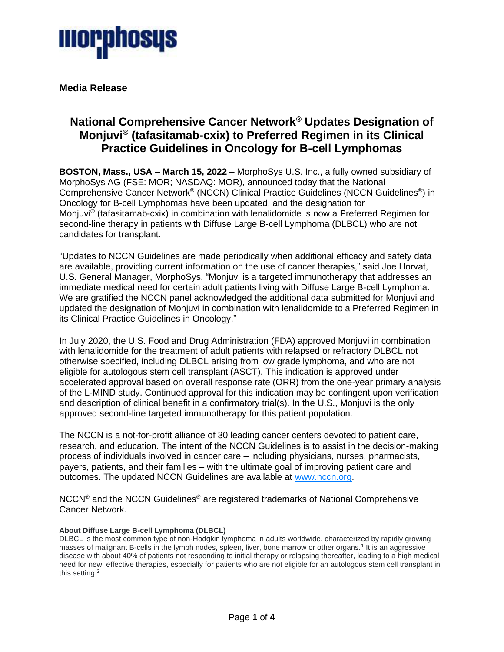

**Media Release**

# **National Comprehensive Cancer Network® Updates Designation of Monjuvi® (tafasitamab-cxix) to Preferred Regimen in its Clinical Practice Guidelines in Oncology for B-cell Lymphomas**

**BOSTON, Mass., USA – March 15, 2022** – MorphoSys U.S. Inc., a fully owned subsidiary of MorphoSys AG (FSE: MOR; NASDAQ: MOR), announced today that the National Comprehensive Cancer Network® (NCCN) Clinical Practice Guidelines (NCCN Guidelines®) in Oncology for B-cell Lymphomas have been updated, and the designation for Monjuvi<sup>®</sup> (tafasitamab-cxix) in combination with lenalidomide is now a Preferred Regimen for second-line therapy in patients with Diffuse Large B-cell Lymphoma (DLBCL) who are not candidates for transplant.

"Updates to NCCN Guidelines are made periodically when additional efficacy and safety data are available, providing current information on the use of cancer therapies," said Joe Horvat, U.S. General Manager, MorphoSys. "Monjuvi is a targeted immunotherapy that addresses an immediate medical need for certain adult patients living with Diffuse Large B-cell Lymphoma. We are gratified the NCCN panel acknowledged the additional data submitted for Monjuvi and updated the designation of Monjuvi in combination with lenalidomide to a Preferred Regimen in its Clinical Practice Guidelines in Oncology."

In July 2020, the U.S. Food and Drug Administration (FDA) approved Monjuvi in combination with lenalidomide for the treatment of adult patients with relapsed or refractory DLBCL not otherwise specified, including DLBCL arising from low grade lymphoma, and who are not eligible for autologous stem cell transplant (ASCT). This indication is approved under accelerated approval based on overall response rate (ORR) from the one-year primary analysis of the L-MIND study. Continued approval for this indication may be contingent upon verification and description of clinical benefit in a confirmatory trial(s). In the U.S., Monjuvi is the only approved second-line targeted immunotherapy for this patient population.

The NCCN is a not-for-profit alliance of 30 leading cancer centers devoted to patient care, research, and education. The intent of the NCCN Guidelines is to assist in the decision-making process of individuals involved in cancer care – including physicians, nurses, pharmacists, payers, patients, and their families – with the ultimate goal of improving patient care and outcomes. The updated NCCN Guidelines are available at [www.nccn.org.](https://eqs-cockpit.com/cgi-bin/fncls.ssp?fn=redirect&url=d0fb8017e1b2105a441b5a3ddc8db0da&application_id=1120297&site_id=news_data&application_name=news)

NCCN® and the NCCN Guidelines® are registered trademarks of National Comprehensive Cancer Network.

## **About Diffuse Large B-cell Lymphoma (DLBCL)**

DLBCL is the most common type of non-Hodgkin lymphoma in adults worldwide, characterized by rapidly growing masses of malignant B-cells in the lymph nodes, spleen, liver, bone marrow or other organs.<sup>1</sup> It is an aggressive disease with about 40% of patients not responding to initial therapy or relapsing thereafter, leading to a high medical need for new, effective therapies, especially for patients who are not eligible for an autologous stem cell transplant in this setting.2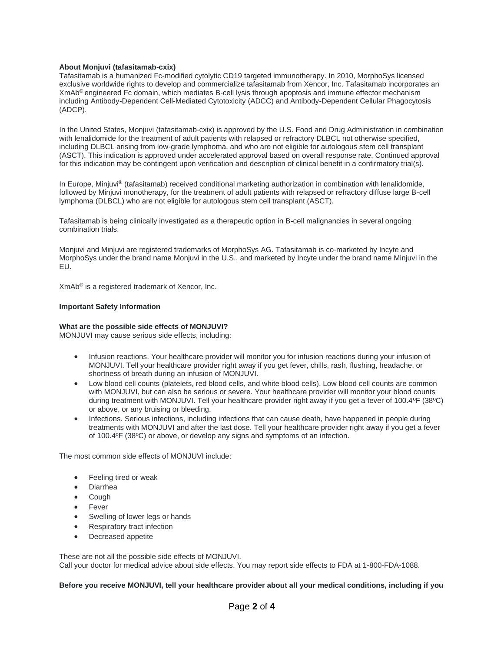### **About Monjuvi (tafasitamab-cxix)**

Tafasitamab is a humanized Fc-modified cytolytic CD19 targeted immunotherapy. In 2010, MorphoSys licensed exclusive worldwide rights to develop and commercialize tafasitamab from Xencor, Inc. Tafasitamab incorporates an XmAb® engineered Fc domain, which mediates B-cell lysis through apoptosis and immune effector mechanism including Antibody-Dependent Cell-Mediated Cytotoxicity (ADCC) and Antibody-Dependent Cellular Phagocytosis (ADCP).

In the United States, Monjuvi (tafasitamab-cxix) is approved by the U.S. Food and Drug Administration in combination with lenalidomide for the treatment of adult patients with relapsed or refractory DLBCL not otherwise specified, including DLBCL arising from low-grade lymphoma, and who are not eligible for autologous stem cell transplant (ASCT). This indication is approved under accelerated approval based on overall response rate. Continued approval for this indication may be contingent upon verification and description of clinical benefit in a confirmatory trial(s).

In Europe, Minjuvi® (tafasitamab) received conditional marketing authorization in combination with lenalidomide, followed by Minjuvi monotherapy, for the treatment of adult patients with relapsed or refractory diffuse large B-cell lymphoma (DLBCL) who are not eligible for autologous stem cell transplant (ASCT).

Tafasitamab is being clinically investigated as a therapeutic option in B-cell malignancies in several ongoing combination trials.

Monjuvi and Minjuvi are registered trademarks of MorphoSys AG. Tafasitamab is co-marketed by Incyte and MorphoSys under the brand name Monjuvi in the U.S., and marketed by Incyte under the brand name Minjuvi in the EU.

XmAb® is a registered trademark of Xencor, Inc.

### **Important Safety Information**

## **What are the possible side effects of MONJUVI?**

MONJUVI may cause serious side effects, including:

- Infusion reactions. Your healthcare provider will monitor you for infusion reactions during your infusion of MONJUVI. Tell your healthcare provider right away if you get fever, chills, rash, flushing, headache, or shortness of breath during an infusion of MONJUVI.
- Low blood cell counts (platelets, red blood cells, and white blood cells). Low blood cell counts are common with MONJUVI, but can also be serious or severe. Your healthcare provider will monitor your blood counts during treatment with MONJUVI. Tell your healthcare provider right away if you get a fever of 100.4ºF (38ºC) or above, or any bruising or bleeding.
- Infections. Serious infections, including infections that can cause death, have happened in people during treatments with MONJUVI and after the last dose. Tell your healthcare provider right away if you get a fever of 100.4ºF (38ºC) or above, or develop any signs and symptoms of an infection.

The most common side effects of MONJUVI include:

- Feeling tired or weak
- Diarrhea
- Cough
- **Fever**
- Swelling of lower legs or hands
- Respiratory tract infection
- Decreased appetite

These are not all the possible side effects of MONJUVI. Call your doctor for medical advice about side effects. You may report side effects to FDA at 1-800-FDA-1088.

### **Before you receive MONJUVI, tell your healthcare provider about all your medical conditions, including if you**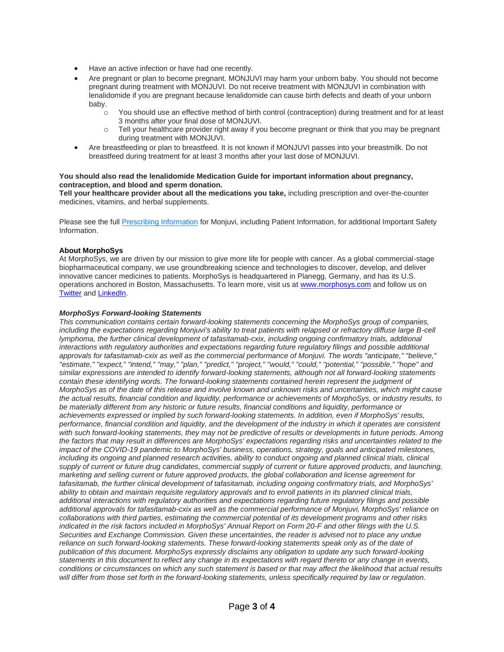- Have an active infection or have had one recently.
- Are pregnant or plan to become pregnant. MONJUVI may harm your unborn baby. You should not become pregnant during treatment with MONJUVI. Do not receive treatment with MONJUVI in combination with lenalidomide if you are pregnant because lenalidomide can cause birth defects and death of your unborn baby.
	- o You should use an effective method of birth control (contraception) during treatment and for at least 3 months after your final dose of MONJUVI.
	- $\circ$  Tell your healthcare provider right away if you become pregnant or think that you may be pregnant during treatment with MONJUVI.
- Are breastfeeding or plan to breastfeed. It is not known if MONJUVI passes into your breastmilk. Do not breastfeed during treatment for at least 3 months after your last dose of MONJUVI.

## **You should also read the lenalidomide Medication Guide for important information about pregnancy, contraception, and blood and sperm donation.**

**Tell your healthcare provider about all the medications you take,** including prescription and over-the-counter medicines, vitamins, and herbal supplements.

Please see the full [Prescribing Information](https://eqs-cockpit.com/cgi-bin/fncls.ssp?fn=redirect&url=c3b2bc73a54caf887d260dc76f6335ec&application_id=1256777&site_id=news_data&application_name=news) for Monjuvi, including Patient Information, for additional Important Safety Information.

## **About MorphoSys**

At MorphoSys, we are driven by our mission to give more life for people with cancer. As a global commercial-stage biopharmaceutical company, we use groundbreaking science and technologies to discover, develop, and deliver innovative cancer medicines to patients. MorphoSys is headquartered in Planegg, Germany, and has its U.S. operations anchored in Boston, Massachusetts. To learn more, visit us at [www.morphosys.com](http://www.morphosys.com/) and follow us on [Twitter](https://twitter.com/morphosys) and [LinkedIn.](https://www.linkedin.com/company/morphosys/)

### *MorphoSys Forward-looking Statements*

*This communication contains certain forward-looking statements concerning the MorphoSys group of companies,*  including the expectations regarding Monjuvi's ability to treat patients with relapsed or refractory diffuse large B-cell *lymphoma, the further clinical development of tafasitamab-cxix, including ongoing confirmatory trials, additional interactions with regulatory authorities and expectations regarding future regulatory filings and possible additional approvals for tafasitamab-cxix as well as the commercial performance of Monjuvi. The words "anticipate," "believe," "estimate," "expect," "intend," "may," "plan," "predict," "project," "would," "could," "potential," "possible," "hope" and similar expressions are intended to identify forward-looking statements, although not all forward-looking statements contain these identifying words. The forward-looking statements contained herein represent the judgment of MorphoSys as of the date of this release and involve known and unknown risks and uncertainties, which might cause the actual results, financial condition and liquidity, performance or achievements of MorphoSys, or industry results, to*  be materially different from any historic or future results, financial conditions and liquidity, performance or *achievements expressed or implied by such forward-looking statements. In addition, even if MorphoSys' results, performance, financial condition and liquidity, and the development of the industry in which it operates are consistent*  with such forward-looking statements, they may not be predictive of results or developments in future periods. Among *the factors that may result in differences are MorphoSys' expectations regarding risks and uncertainties related to the impact of the COVID-19 pandemic to MorphoSys' business, operations, strategy, goals and anticipated milestones, including its ongoing and planned research activities, ability to conduct ongoing and planned clinical trials, clinical supply of current or future drug candidates, commercial supply of current or future approved products, and launching, marketing and selling current or future approved products, the global collaboration and license agreement for tafasitamab, the further clinical development of tafasitamab, including ongoing confirmatory trials, and MorphoSys' ability to obtain and maintain requisite regulatory approvals and to enroll patients in its planned clinical trials, additional interactions with regulatory authorities and expectations regarding future regulatory filings and possible additional approvals for tafasitamab-cxix as well as the commercial performance of Monjuvi, MorphoSys' reliance on collaborations with third parties, estimating the commercial potential of its development programs and other risks indicated in the risk factors included in MorphoSys' Annual Report on Form 20-F and other filings with the U.S. Securities and Exchange Commission. Given these uncertainties, the reader is advised not to place any undue reliance on such forward-looking statements. These forward-looking statements speak only as of the date of publication of this document. MorphoSys expressly disclaims any obligation to update any such forward-looking statements in this document to reflect any change in its expectations with regard thereto or any change in events, conditions or circumstances on which any such statement is based or that may affect the likelihood that actual results will differ from those set forth in the forward-looking statements, unless specifically required by law or regulation.*